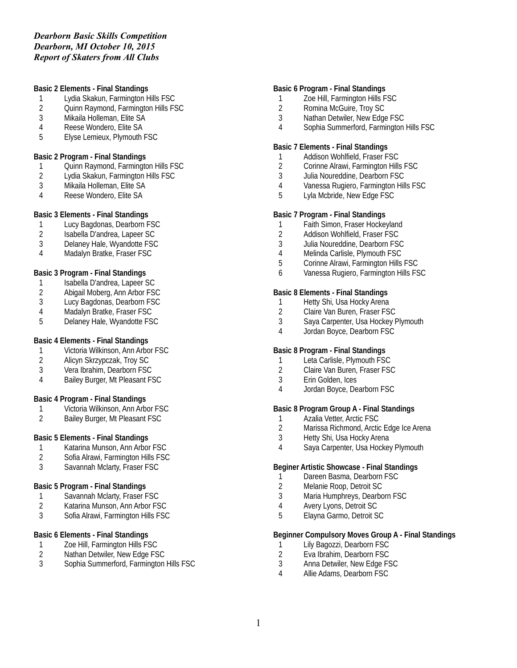# *Dearborn Basic Skills Competition Dearborn, MI October 10, 2015 Report of Skaters from All Clubs*

### **Basic 2 Elements - Final Standings**

- 1 Lydia Skakun, Farmington Hills FSC<br>2 Ouinn Raymond, Farmington Hills FS
- 2 Quinn Raymond, Farmington Hills FSC
- 3 Mikaila Holleman, Elite SA
- 4 Reese Wondero, Elite SA
- 5 Elyse Lemieux, Plymouth FSC

#### **Basic 2 Program - Final Standings**

- 1 Quinn Raymond, Farmington Hills FSC
- 2 Lydia Skakun, Farmington Hills FSC<br>3 Mikaila Holleman, Elite SA
- 3 Mikaila Holleman, Elite SA
- 4 Reese Wondero, Elite SA

#### **Basic 3 Elements - Final Standings**

- 1 Lucy Bagdonas, Dearborn FSC
- 2 Isabella D'andrea, Lapeer SC
- 3 Delaney Hale, Wyandotte FSC
- 4 Madalyn Bratke, Fraser FSC

### **Basic 3 Program - Final Standings**

- 1 Isabella D'andrea, Lapeer SC
- 2 Abigail Moberg, Ann Arbor FSC<br>3 Lucy Bagdonas, Dearborn FSC
- Lucy Bagdonas, Dearborn FSC
- 4 Madalyn Bratke, Fraser FSC
- 5 Delaney Hale, Wyandotte FSC

### **Basic 4 Elements - Final Standings**

- 1 Victoria Wilkinson, Ann Arbor FSC<br>2 Alicyn Skrzypczak, Troy SC
- 
- 2 Alicyn Skrzypczak, Troy SC<br>3 Vera Ibrahim. Dearborn FSC Vera Ibrahim, Dearborn FSC
- 4 Bailey Burger, Mt Pleasant FSC

### **Basic 4 Program - Final Standings**

- 1 Victoria Wilkinson, Ann Arbor FSC<br>2 Bailev Burger. Mt Pleasant FSC
- 2 Bailey Burger, Mt Pleasant FSC

### **Basic 5 Elements - Final Standings**

- 1 Katarina Munson, Ann Arbor FSC<br>2 Sofia Alrawi. Farmington Hills FSC
- 2 Sofia Alrawi, Farmington Hills FSC
- 3 Savannah Mclarty, Fraser FSC

### **Basic 5 Program - Final Standings**

- 1 Savannah Mclarty, Fraser FSC<br>2 Katarina Munson, Ann Arbor FS
- 2 Katarina Munson, Ann Arbor FSC<br>3 Sofia Alrawi. Farmington Hills FSC
- 3 Sofia Alrawi, Farmington Hills FSC

### **Basic 6 Elements - Final Standings**

- 1 Zoe Hill, Farmington Hills FSC<br>2 Nathan Detwiler, New Edge FS
- Nathan Detwiler, New Edge FSC
- 3 Sophia Summerford, Farmington Hills FSC

#### **Basic 6 Program - Final Standings**

- 1 Zoe Hill, Farmington Hills FSC<br>2 Romina McGuire. Trov SC
- 2 Romina McGuire, Troy SC
- 3 Nathan Detwiler, New Edge FSC
- 4 Sophia Summerford, Farmington Hills FSC

#### **Basic 7 Elements - Final Standings**

- 1 Addison Wohlfield, Fraser FSC
- 2 Corinne Alrawi, Farmington Hills FSC
- 3 Julia Noureddine, Dearborn FSC
- 4 Vanessa Rugiero, Farmington Hills FSC<br>5 Lyla Mcbride. New Edge FSC
- Lyla Mcbride, New Edge FSC

#### **Basic 7 Program - Final Standings**

- 1 Faith Simon, Fraser Hockeyland
- 2 Addison Wohlfield, Fraser FSC
- 3 Julia Noureddine, Dearborn FSC
- 4 Melinda Carlisle, Plymouth FSC
- 5 Corinne Alrawi, Farmington Hills FSC
- 6 Vanessa Rugiero, Farmington Hills FSC

# **Basic 8 Elements - Final Standings**

- 1 Hetty Shi, Usa Hocky Arena<br>2 Claire Van Buren, Fraser FS
- 2 Claire Van Buren, Fraser FSC
- 3 Saya Carpenter, Usa Hockey Plymouth
- 4 Jordan Boyce, Dearborn FSC

#### **Basic 8 Program - Final Standings**

- 1 Leta Carlisle, Plymouth FSC
- 2 Claire Van Buren, Fraser FSC
- 3 Erin Golden, Ices
- 4 Jordan Boyce, Dearborn FSC

### **Basic 8 Program Group A - Final Standings**

- 1 Azalia Vetter, Arctic FSC<br>2 Marissa Richmond. Arctic
- Marissa Richmond, Arctic Edge Ice Arena
- 3 Hetty Shi, Usa Hocky Arena
- 4 Saya Carpenter, Usa Hockey Plymouth

#### **Beginer Artistic Showcase - Final Standings**

- 1 Dareen Basma, Dearborn FSC
- 2 Melanie Roop, Detroit SC
- 3 Maria Humphreys, Dearborn FSC
- 4 Avery Lyons, Detroit SC
- 5 Elayna Garmo, Detroit SC

### **Beginner Compulsory Moves Group A - Final Standings**

- 1 Lily Bagozzi, Dearborn FSC
- 2 Eva Ibrahim, Dearborn FSC
- 3 Anna Detwiler, New Edge FSC
- 4 Allie Adams, Dearborn FSC